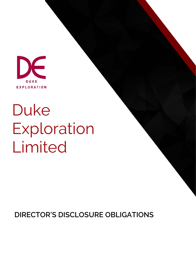

# Duke Exploration Limited

**DIRECTOR'S DISCLOSURE OBLIGATIONS**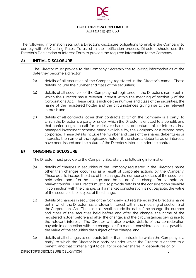

#### **DUKE EXPLORATION LIMITED**

ABN 28 119 421 868

The following information sets out a Director's disclosure obligations to enable the Company to comply with ASX Listing Rules. To assist in the notification process, Directors should use the Director's Declaration of Interest Form to provide the required information to the Company.

## **A) INITIAL DISCLOSURE**

The Director must provide to the Company Secretary the following information as at the date they become a director:

- (a) details of all securities of the Company registered in the Director's name. These details include the number and class of the securities;
- (b) details of all securities of the Company not registered in the Director's name but in which the Director has a relevant interest within the meaning of section 9 of the Corporations Act. These details include the number and class of the securities, the name of the registered holder and the circumstances giving rise to the relevant interest; and
- (c) details of all contracts (other than contracts to which the Company is a party) to which the Director is a party or under which the Director is entitled to a benefit, and that confer a right to call for or deliver shares in, debentures of, or interests in a managed investment scheme made available by, the Company or a related body corporate. These details include the number and class of the shares, debentures or interests, the name of the registered holder if the shares, debentures or interests have been issued and the nature of the Director's interest under the contract.

## **B) ONGOING DISCLOSURE**

The Director must provide to the Company Secretary the following information:

- (a) details of changes in securities of the Company registered in the Director's name other than changes occurring as a result of corporate actions by the Company. These details include the date of the change, the number and class of the securities held before and after the change, and the nature of the change, for example onmarket transfer. The Director must also provide details of the consideration payable in connection with the change, or if a market consideration is not payable, the value of the securities the subject of the change;
- (b) details of changes in securities of the Company not registered in the Director's name but in which the Director has a relevant interest within the meaning of section 9 of the Corporations Act. These details shall include the date of the change, the number and class of the securities held before and after the change, the name of the registered holder before and after the change, and the circumstances giving rise to the relevant interest. The Director will also provide details of the consideration payable in connection with the change, or if a market consideration is not payable, the value of the securities the subject of the change; and
- (c) details of all changes to contracts (other than contracts to which the Company is a party) to which the Director is a party or under which the Director is entitled to a benefit, and that confer a right to call for or deliver shares in, debentures of, or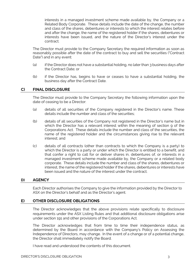interests in a managed investment scheme made available by, the Company or a Related Body Corporate. These details include the date of the change, the number and class of the shares, debentures or interests to which the interest relates before and after the change, the name of the registered holder if the shares, debentures or interests have been issued, and the nature of the Director's interest under the contract.

The Director must provide to the Company Secretary the required information as soon as reasonably possible after the date of the contract to buy and sell the securities ("Contract Date") and in any event:

- (a) if the Director does not have a substantial holding, no later than 3 business days after the Contract Date; or
- (b) if the Director has, begins to have or ceases to have a substantial holding, the business day after the Contract Date.

#### **C) FINAL DISCLOSURE**

The Director must provide to the Company Secretary the following information upon the date of ceasing to be a Director:

- (a) details of all securities of the Company registered in the Director's name. These details include the number and class of the securities;
- (b) details of all securities of the Company not registered in the Director's name but in which the Director has a relevant interest within the meaning of section 9 of the Corporations Act. These details include the number and class of the securities, the name of the registered holder and the circumstances giving rise to the relevant interest; and
- (c) details of all contracts (other than contracts to which the Company is a party) to which the Director is a party or under which the Director is entitled to a benefit, and that confer a right to call for or deliver shares in, debentures of, or interests in a managed investment scheme made available by, the Company or a related body corporate. These details include the number and class of the shares, debentures or interest, the name of the registered holder if the shares, debentures or interests have been issued and the nature of the interest under the contract.

## **D) AGENCY**

Each Director authorises the Company to give the information provided by the Director to ASX on the Director's behalf and as the Director's agent.

## **E) OTHER DISCLOSURE OBLIGATIONS**

The Director acknowledges that the above provisions relate specifically to disclosure requirements under the ASX Listing Rules and that additional disclosure obligations arise under section 191 and other provisions of the Corporations Act.

The Director acknowledges that from time to time their independence status, as determined by the Board in accordance with the Company's Policy on Assessing the Independence of Directors, may change. In the event of a change or of a potential change, the Director shall immediately notify the Board.

I have read and understood the contents of this document.